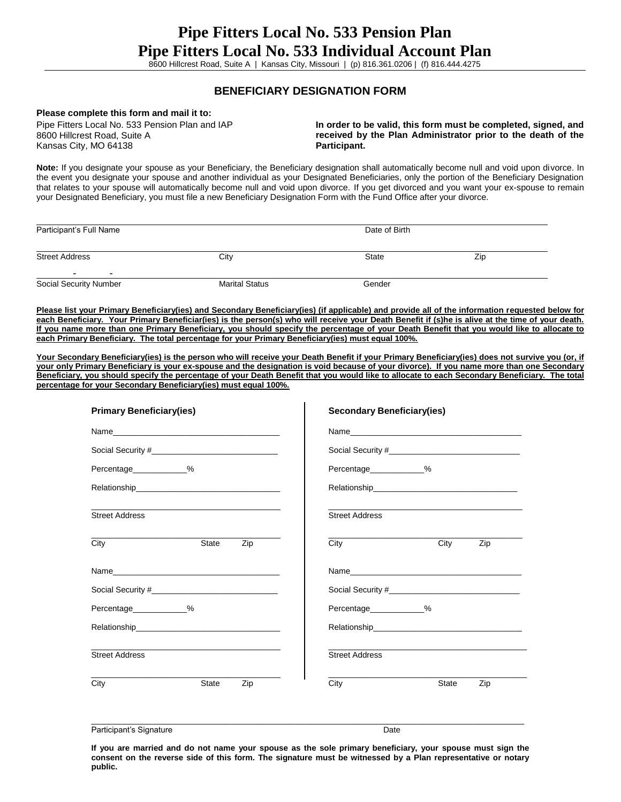8600 Hillcrest Road, Suite A | Kansas City, Missouri | (p) 816.361.0206 | (f) 816.444.4275

## **BENEFICIARY DESIGNATION FORM**

## **Please complete this form and mail it to:**

Pipe Fitters Local No. 533 Pension Plan and IAP 8600 Hillcrest Road, Suite A Kansas City, MO 64138

**In order to be valid, this form must be completed, signed, and received by the Plan Administrator prior to the death of the Participant.**

**Note:** If you designate your spouse as your Beneficiary, the Beneficiary designation shall automatically become null and void upon divorce. In the event you designate your spouse and another individual as your Designated Beneficiaries, only the portion of the Beneficiary Designation that relates to your spouse will automatically become null and void upon divorce. If you get divorced and you want your ex-spouse to remain your Designated Beneficiary, you must file a new Beneficiary Designation Form with the Fund Office after your divorce.

| Participant's Full Name |                       | Date of Birth |     |  |  |
|-------------------------|-----------------------|---------------|-----|--|--|
| <b>Street Address</b>   | City                  | State         | Zip |  |  |
|                         |                       |               |     |  |  |
| Social Security Number  | <b>Marital Status</b> | Gender        |     |  |  |

**Please list your Primary Beneficiary(ies) and Secondary Beneficiary(ies) (if applicable) and provide all of the information requested below for each Beneficiary. Your Primary Beneficiar(ies) is the person(s) who will receive your Death Benefit if (s)he is alive at the time of your death. If you name more than one Primary Beneficiary, you should specify the percentage of your Death Benefit that you would like to allocate to each Primary Beneficiary. The total percentage for your Primary Beneficiary(ies) must equal 100%.** 

Your Secondary Beneficiary(ies) is the person who will receive your Death Benefit if your Primary Beneficiary(ies) does not survive you (or, if **your only Primary Beneficiary is your ex-spouse and the designation is void because of your divorce). If you name more than one Secondary Beneficiary, you should specify the percentage of your Death Benefit that you would like to allocate to each Secondary Beneficiary. The total percentage for your Secondary Beneficiary(ies) must equal 100%.** 

| <b>Primary Beneficiary(ies)</b>                                                                                                                                                                                                |     | <b>Secondary Beneficiary(ies)</b> |              |     |
|--------------------------------------------------------------------------------------------------------------------------------------------------------------------------------------------------------------------------------|-----|-----------------------------------|--------------|-----|
| Name and the contract of the contract of the contract of the contract of the contract of the contract of the contract of the contract of the contract of the contract of the contract of the contract of the contract of the c |     |                                   |              |     |
|                                                                                                                                                                                                                                |     |                                   |              |     |
| Percentage %                                                                                                                                                                                                                   |     | Percentage %                      |              |     |
| Relationship experience and the contract of the contract of the contract of the contract of the contract of the                                                                                                                |     |                                   |              |     |
| the control of the control of the control of the control of the control of the control of<br><b>Street Address</b>                                                                                                             |     | <b>Street Address</b>             |              |     |
| State<br>City                                                                                                                                                                                                                  | Zip | City                              | City         | Zip |
|                                                                                                                                                                                                                                |     |                                   |              |     |
|                                                                                                                                                                                                                                |     |                                   |              |     |
| Percentage___________%                                                                                                                                                                                                         |     | Percentage___________%            |              |     |
| Relationship experience and the contract of the contract of the contract of the contract of the contract of the                                                                                                                |     |                                   |              |     |
| <b>Street Address</b>                                                                                                                                                                                                          |     | <b>Street Address</b>             |              |     |
| City<br><b>State</b>                                                                                                                                                                                                           | Zip | City                              | <b>State</b> | Zip |
|                                                                                                                                                                                                                                |     |                                   |              |     |

Participant's Signature **Date** Date of *Participant's* Signature Date Date of *Participant's* Date

**If you are married and do not name your spouse as the sole primary beneficiary, your spouse must sign the consent on the reverse side of this form. The signature must be witnessed by a Plan representative or notary public.**

 $\_$  ,  $\_$  ,  $\_$  ,  $\_$  ,  $\_$  ,  $\_$  ,  $\_$  ,  $\_$  ,  $\_$  ,  $\_$  ,  $\_$  ,  $\_$  ,  $\_$  ,  $\_$  ,  $\_$  ,  $\_$  ,  $\_$  ,  $\_$  ,  $\_$  ,  $\_$  ,  $\_$  ,  $\_$  ,  $\_$  ,  $\_$  ,  $\_$  ,  $\_$  ,  $\_$  ,  $\_$  ,  $\_$  ,  $\_$  ,  $\_$  ,  $\_$  ,  $\_$  ,  $\_$  ,  $\_$  ,  $\_$  ,  $\_$  ,